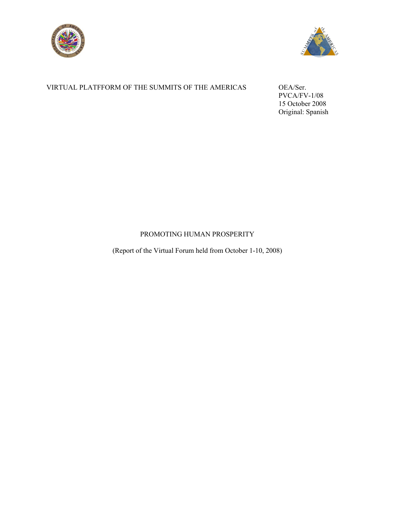



# VIRTUAL PLATFFORM OF THE SUMMITS OF THE AMERICAS OEA/Ser.

 PVCA/FV-1/08 15 October 2008 Original: Spanish

# PROMOTING HUMAN PROSPERITY

(Report of the Virtual Forum held from October 1-10, 2008)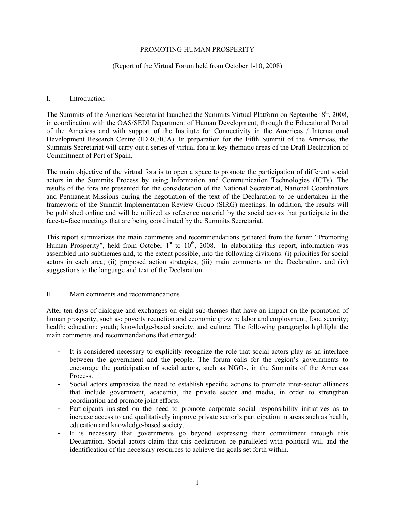#### PROMOTING HUMAN PROSPERITY

#### (Report of the Virtual Forum held from October 1-10, 2008)

#### I. Introduction

The Summits of the Americas Secretariat launched the Summits Virtual Platform on September 8<sup>th</sup>, 2008, in coordination with the OAS/SEDI Department of Human Development, through the Educational Portal of the Americas and with support of the Institute for Connectivity in the Americas / International Development Research Centre (IDRC/ICA). In preparation for the Fifth Summit of the Americas, the Summits Secretariat will carry out a series of virtual fora in key thematic areas of the Draft Declaration of Commitment of Port of Spain.

The main objective of the virtual fora is to open a space to promote the participation of different social actors in the Summits Process by using Information and Communication Technologies (ICTs). The results of the fora are presented for the consideration of the National Secretariat, National Coordinators and Permanent Missions during the negotiation of the text of the Declaration to be undertaken in the framework of the Summit Implementation Review Group (SIRG) meetings. In addition, the results will be published online and will be utilized as reference material by the social actors that participate in the face-to-face meetings that are being coordinated by the Summits Secretariat.

This report summarizes the main comments and recommendations gathered from the forum "Promoting Human Prosperity", held from October 1<sup>st</sup> to 10<sup>th</sup>, 2008. In elaborating this report, information was assembled into subthemes and, to the extent possible, into the following divisions: (i) priorities for social actors in each area; (ii) proposed action strategies; (iii) main comments on the Declaration, and (iv) suggestions to the language and text of the Declaration.

#### II. Main comments and recommendations

After ten days of dialogue and exchanges on eight sub-themes that have an impact on the promotion of human prosperity, such as: poverty reduction and economic growth; labor and employment; food security; health; education; youth; knowledge-based society, and culture. The following paragraphs highlight the main comments and recommendations that emerged:

- It is considered necessary to explicitly recognize the role that social actors play as an interface between the government and the people. The forum calls for the region's governments to encourage the participation of social actors, such as NGOs, in the Summits of the Americas Process.
- Social actors emphasize the need to establish specific actions to promote inter-sector alliances that include government, academia, the private sector and media, in order to strengthen coordination and promote joint efforts.
- Participants insisted on the need to promote corporate social responsibility initiatives as to increase access to and qualitatively improve private sector's participation in areas such as health, education and knowledge-based society.
- It is necessary that governments go beyond expressing their commitment through this Declaration. Social actors claim that this declaration be paralleled with political will and the identification of the necessary resources to achieve the goals set forth within.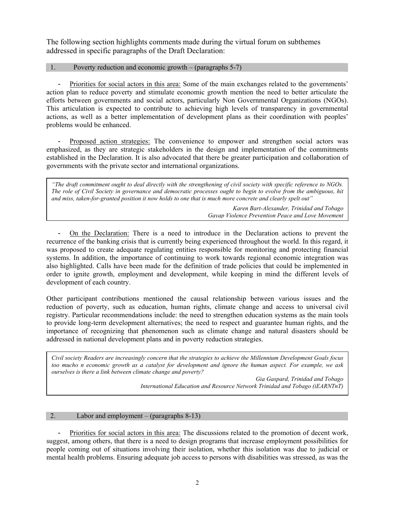The following section highlights comments made during the virtual forum on subthemes addressed in specific paragraphs of the Draft Declaration:

## 1. Poverty reduction and economic growth – (paragraphs 5-7)

- Priorities for social actors in this area: Some of the main exchanges related to the governments' action plan to reduce poverty and stimulate economic growth mention the need to better articulate the efforts between governments and social actors, particularly Non Governmental Organizations (NGOs). This articulation is expected to contribute to achieving high levels of transparency in governmental actions, as well as a better implementation of development plans as their coordination with peoples' problems would be enhanced.

- Proposed action strategies: The convenience to empower and strengthen social actors was emphasized, as they are strategic stakeholders in the design and implementation of the commitments established in the Declaration. It is also advocated that there be greater participation and collaboration of governments with the private sector and international organizations.

*"The draft commitment ought to deal directly with the strengthening of civil society with specific reference to NGOs. The role of Civil Society in governance and democratic processes ought to begin to evolve from the ambiguous, hit and miss, taken-for-granted position it now holds to one that is much more concrete and clearly spelt out"* 

> *Karen Bart-Alexander, Trinidad and Tobago Gayap Violence Prevention Peace and Love Movement*

- On the Declaration: There is a need to introduce in the Declaration actions to prevent the recurrence of the banking crisis that is currently being experienced throughout the world. In this regard, it was proposed to create adequate regulating entities responsible for monitoring and protecting financial systems. In addition, the importance of continuing to work towards regional economic integration was also highlighted. Calls have been made for the definition of trade policies that could be implemented in order to ignite growth, employment and development, while keeping in mind the different levels of development of each country.

Other participant contributions mentioned the causal relationship between various issues and the reduction of poverty, such as education, human rights, climate change and access to universal civil registry. Particular recommendations include: the need to strengthen education systems as the main tools to provide long-term development alternatives; the need to respect and guarantee human rights, and the importance of recognizing that phenomenon such as climate change and natural disasters should be addressed in national development plans and in poverty reduction strategies.

*Civil society Readers are increasingly concern that the strategies to achieve the Millennium Development Goals focus too mucho n economic growth as a catalyst for development and ignore the human aspect. For example, we ask ourselves is there a link between climate change and poverty?*

> *Gia Gaspard, Trinidad and Tobago International Education and Resource Network Trinidad and Tobago (iEARNTnT)*

#### 2. Labor and employment – (paragraphs 8-13)

Priorities for social actors in this area: The discussions related to the promotion of decent work, suggest, among others, that there is a need to design programs that increase employment possibilities for people coming out of situations involving their isolation, whether this isolation was due to judicial or mental health problems. Ensuring adequate job access to persons with disabilities was stressed, as was the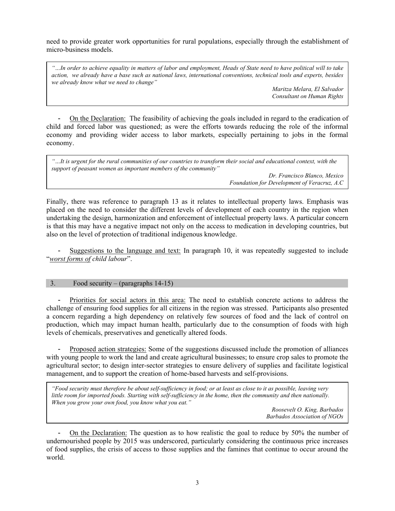need to provide greater work opportunities for rural populations, especially through the establishment of micro-business models.

*"…In order to achieve equality in matters of labor and employment, Heads of State need to have political will to take action, we already have a base such as national laws, international conventions, technical tools and experts, besides we already know what we need to change"* 

> *Maritza Melara, El Salvador Consultant on Human Rights*

- On the Declaration: The feasibility of achieving the goals included in regard to the eradication of child and forced labor was questioned; as were the efforts towards reducing the role of the informal economy and providing wider access to labor markets, especially pertaining to jobs in the formal economy.

| "It is urgent for the rural communities of our countries to transform their social and educational context, with the |
|----------------------------------------------------------------------------------------------------------------------|
| support of peasant women as important members of the community"                                                      |
| Dr. Francisco Blanco, Mexico                                                                                         |

*Foundation for Development of Veracruz, A.C* 

Finally, there was reference to paragraph 13 as it relates to intellectual property laws. Emphasis was placed on the need to consider the different levels of development of each country in the region when undertaking the design, harmonization and enforcement of intellectual property laws. A particular concern is that this may have a negative impact not only on the access to medication in developing countries, but also on the level of protection of traditional indigenous knowledge.

- Suggestions to the language and text: In paragraph 10, it was repeatedly suggested to include "*worst forms of child labour*".

# 3. Food security – (paragraphs 14-15)

- Priorities for social actors in this area: The need to establish concrete actions to address the challenge of ensuring food supplies for all citizens in the region was stressed. Participants also presented a concern regarding a high dependency on relatively few sources of food and the lack of control on production, which may impact human health, particularly due to the consumption of foods with high levels of chemicals, preservatives and genetically altered foods.

- Proposed action strategies: Some of the suggestions discussed include the promotion of alliances with young people to work the land and create agricultural businesses; to ensure crop sales to promote the agricultural sector; to design inter-sector strategies to ensure delivery of supplies and facilitate logistical management, and to support the creation of home-based harvests and self-provisions.

*"Food security must therefore be about self-sufficiency in food; or at least as close to it as possible, leaving very little room for imported foods. Starting with self-sufficiency in the home, then the community and then nationally. When you grow your own food, you know what you eat."* 

*Roosevelt O. King, Barbados Barbados Association of NGOs* 

- On the Declaration: The question as to how realistic the goal to reduce by 50% the number of undernourished people by 2015 was underscored, particularly considering the continuous price increases of food supplies, the crisis of access to those supplies and the famines that continue to occur around the world.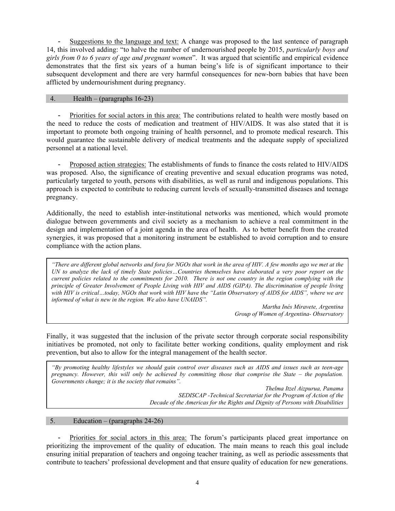- Suggestions to the language and text: A change was proposed to the last sentence of paragraph 14, this involved adding: "to halve the number of undernourished people by 2015, *particularly boys and girls from 0 to 6 years of age and pregnant women*". It was argued that scientific and empirical evidence demonstrates that the first six years of a human being's life is of significant importance to their subsequent development and there are very harmful consequences for new-born babies that have been afflicted by undernourishment during pregnancy.

#### 4. Health – (paragraphs 16-23)

- Priorities for social actors in this area: The contributions related to health were mostly based on the need to reduce the costs of medication and treatment of HIV/AIDS. It was also stated that it is important to promote both ongoing training of health personnel, and to promote medical research. This would guarantee the sustainable delivery of medical treatments and the adequate supply of specialized personnel at a national level.

- Proposed action strategies: The establishments of funds to finance the costs related to HIV/AIDS was proposed. Also, the significance of creating preventive and sexual education programs was noted, particularly targeted to youth, persons with disabilities, as well as rural and indigenous populations. This approach is expected to contribute to reducing current levels of sexually-transmitted diseases and teenage pregnancy.

Additionally, the need to establish inter-institutional networks was mentioned, which would promote dialogue between governments and civil society as a mechanism to achieve a real commitment in the design and implementation of a joint agenda in the area of health. As to better benefit from the created synergies, it was proposed that a monitoring instrument be established to avoid corruption and to ensure compliance with the action plans.

*"There are different global networks and fora for NGOs that work in the area of HIV. A few months ago we met at the UN to analyze the lack of timely State policies…Countries themselves have elaborated a very poor report on the current policies related to the commitments for 2010. There is not one country in the region complying with the principle of Greater Involvement of People Living with HIV and AIDS (GIPA). The discrimination of people living* with HIV is critical…today, NGOs that work with HIV have the "Latin Observatory of AIDS for AIDS", where we are *informed of what is new in the region. We also have UNAIDS".* 

> *Martha Inés Miravete, Argentina Group of Women of Argentina- Observatory*

Finally, it was suggested that the inclusion of the private sector through corporate social responsibility initiatives be promoted, not only to facilitate better working conditions, quality employment and risk prevention, but also to allow for the integral management of the health sector.

*"By promoting healthy lifestyles we should gain control over diseases such as AIDS and issues such as teen-age pregnancy. However, this will only be achieved by committing those that comprise the State – the population. Governments change; it is the society that remains".* 

> *Thelma Itzel Aizpurua, Panama SEDISCAP -Technical Secretariat for the Program of Action of the Decade of the Americas for the Rights and Dignity of Persons with Disabilities*

#### 5. Education – (paragraphs 24-26)

- Priorities for social actors in this area: The forum's participants placed great importance on prioritizing the improvement of the quality of education. The main means to reach this goal include ensuring initial preparation of teachers and ongoing teacher training, as well as periodic assessments that contribute to teachers' professional development and that ensure quality of education for new generations.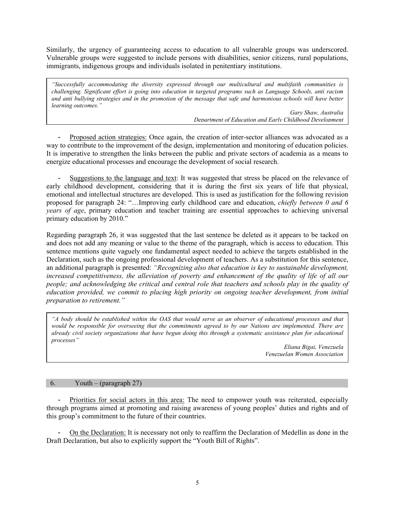Similarly, the urgency of guaranteeing access to education to all vulnerable groups was underscored. Vulnerable groups were suggested to include persons with disabilities, senior citizens, rural populations, immigrants, indigenous groups and individuals isolated in penitentiary institutions.

*"Successfully accommodating the diversity expressed through our multicultural and multifaith communities is challenging. Significant effort is going into education in targeted programs such as Language Schools, anti racism and anti bullying strategies and in the promotion of the message that safe and harmonious schools will have better learning outcomes."* 

> *Gary Shaw, Australia Department of Education and Early Childhood Development*

- Proposed action strategies: Once again, the creation of inter-sector alliances was advocated as a way to contribute to the improvement of the design, implementation and monitoring of education policies. It is imperative to strengthen the links between the public and private sectors of academia as a means to energize educational processes and encourage the development of social research.

- Suggestions to the language and text: It was suggested that stress be placed on the relevance of early childhood development, considering that it is during the first six years of life that physical, emotional and intellectual structures are developed. This is used as justification for the following revision proposed for paragraph 24: "…Improving early childhood care and education, *chiefly between 0 and 6 years of age*, primary education and teacher training are essential approaches to achieving universal primary education by 2010."

Regarding paragraph 26, it was suggested that the last sentence be deleted as it appears to be tacked on and does not add any meaning or value to the theme of the paragraph, which is access to education. This sentence mentions quite vaguely one fundamental aspect needed to achieve the targets established in the Declaration, such as the ongoing professional development of teachers. As a substitution for this sentence, an additional paragraph is presented: *"Recognizing also that education is key to sustainable development, increased competitiveness, the alleviation of poverty and enhancement of the quality of life of all our people; and acknowledging the critical and central role that teachers and schools play in the quality of education provided, we commit to placing high priority on ongoing teacher development, from initial preparation to retirement."* 

*"A body should be established within the OAS that would serve as an observer of educational processes and that*  would be responsible for overseeing that the commitments agreed to by our Nations are implemented. There are *already civil society organizations that have begun doing this through a systematic assistance plan for educational processes"* 

> *Eliana Bigai, Venezuela Venezuelan Women Association*

#### 6. Youth – (paragraph 27)

- Priorities for social actors in this area: The need to empower youth was reiterated, especially through programs aimed at promoting and raising awareness of young peoples' duties and rights and of this group's commitment to the future of their countries.

- On the Declaration: It is necessary not only to reaffirm the Declaration of Medellin as done in the Draft Declaration, but also to explicitly support the "Youth Bill of Rights".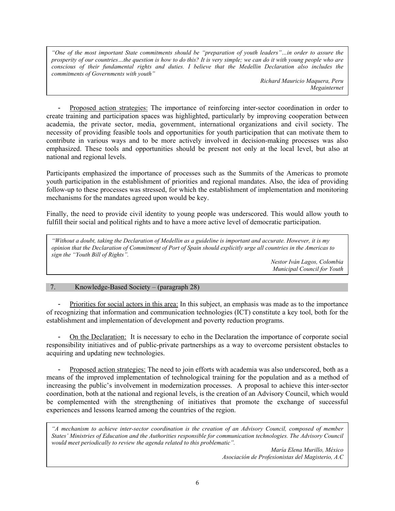*"One of the most important State commitments should be "preparation of youth leaders"…in order to assure the prosperity of our countries…the question is how to do this? It is very simple; we can do it with young people who are conscious of their fundamental rights and duties. I believe that the Medellin Declaration also includes the commitments of Governments with youth"* 

> *Richard Mauricio Maquera, Peru Megainternet*

- Proposed action strategies: The importance of reinforcing inter-sector coordination in order to create training and participation spaces was highlighted, particularly by improving cooperation between academia, the private sector, media, government, international organizations and civil society. The necessity of providing feasible tools and opportunities for youth participation that can motivate them to contribute in various ways and to be more actively involved in decision-making processes was also emphasized. These tools and opportunities should be present not only at the local level, but also at national and regional levels.

Participants emphasized the importance of processes such as the Summits of the Americas to promote youth participation in the establishment of priorities and regional mandates. Also, the idea of providing follow-up to these processes was stressed, for which the establishment of implementation and monitoring mechanisms for the mandates agreed upon would be key.

Finally, the need to provide civil identity to young people was underscored. This would allow youth to fulfill their social and political rights and to have a more active level of democratic participation.

*"Without a doubt, taking the Declaration of Medellin as a guideline is important and accurate. However, it is my opinion that the Declaration of Commitment of Port of Spain should explicitly urge all countries in the Americas to sign the "Youth Bill of Rights".* 

*Nestor Iván Lagos, Colombia Municipal Council for Youth*

#### 7. Knowledge-Based Society – (paragraph 28)

- Priorities for social actors in this area: In this subject, an emphasis was made as to the importance of recognizing that information and communication technologies (ICT) constitute a key tool, both for the establishment and implementation of development and poverty reduction programs.

- On the Declaration: It is necessary to echo in the Declaration the importance of corporate social responsibility initiatives and of public-private partnerships as a way to overcome persistent obstacles to acquiring and updating new technologies.

- Proposed action strategies: The need to join efforts with academia was also underscored, both as a means of the improved implementation of technological training for the population and as a method of increasing the public's involvement in modernization processes. A proposal to achieve this inter-sector coordination, both at the national and regional levels, is the creation of an Advisory Council, which would be complemented with the strengthening of initiatives that promote the exchange of successful experiences and lessons learned among the countries of the region.

*"A mechanism to achieve inter-sector coordination is the creation of an Advisory Council, composed of member States' Ministries of Education and the Authorities responsible for communication technologies. The Advisory Council would meet periodically to review the agenda related to this problematic".* 

> *María Elena Murillo, México Asociación de Profesionistas del Magisterio, A.C*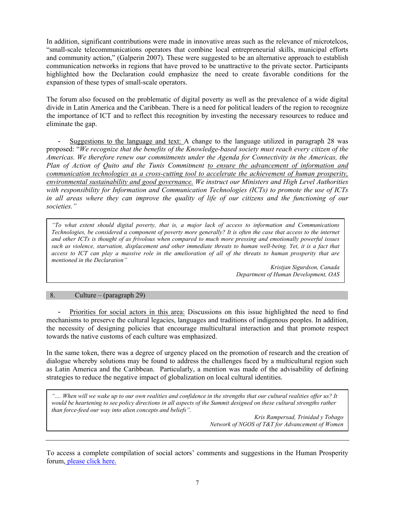In addition, significant contributions were made in innovative areas such as the relevance of microtelcos, "small-scale telecommunications operators that combine local entrepreneurial skills, municipal efforts and community action," (Galperin 2007). These were suggested to be an alternative approach to establish communication networks in regions that have proved to be unattractive to the private sector. Participants highlighted how the Declaration could emphasize the need to create favorable conditions for the expansion of these types of small-scale operators.

The forum also focused on the problematic of digital poverty as well as the prevalence of a wide digital divide in Latin America and the Caribbean. There is a need for political leaders of the region to recognize the importance of ICT and to reflect this recognition by investing the necessary resources to reduce and eliminate the gap.

- Suggestions to the language and text: A change to the language utilized in paragraph 28 was proposed: "*We recognize that the benefits of the Knowledge-based society must reach every citizen of the Americas. We therefore renew our commitments under the Agenda for Connectivity in the Americas, the Plan of Action of Quito and the Tunis Commitment to ensure the advancement of information and communication technologies as a cross-cutting tool to accelerate the achievement of human prosperity, environmental sustainability and good governance. We instruct our Ministers and High Level Authorities with responsibility for Information and Communication Technologies (ICTs) to promote the use of ICTs in all areas where they can improve the quality of life of our citizens and the functioning of our societies."* 

*"To what extent should digital poverty, that is, a major lack of access to information and Communications Technologies, be considered a component of poverty more generally? It is often the case that access to the internet and other ICTs is thought of as frivolous when compared to much more pressing and emotionally powerful issues such as violence, starvation, displacement and other immediate threats to human well-being. Yet, it is a fact that access to ICT can play a massive role in the amelioration of all of the threats to human prosperity that are mentioned in the Declaration"* 

> *Kristjan Sigurdson, Canada Department of Human Development, OAS*

#### 8. Culture – (paragraph 29)

- Priorities for social actors in this area: Discussions on this issue highlighted the need to find mechanisms to preserve the cultural legacies, languages and traditions of indigenous peoples. In addition, the necessity of designing policies that encourage multicultural interaction and that promote respect towards the native customs of each culture was emphasized.

In the same token, there was a degree of urgency placed on the promotion of research and the creation of dialogue whereby solutions may be found to address the challenges faced by a multicultural region such as Latin America and the Caribbean. Particularly, a mention was made of the advisability of defining strategies to reduce the negative impact of globalization on local cultural identities.

*".... When will we wake up to our own realities and confidence in the strengths that our cultural realities offer us? It*  would be heartening to see policy directions in all aspects of the Summit designed on these cultural strengths rather *than force-feed our way into alien concepts and beliefs".* 

*Kris Rampersad, Trinidad y Tobago Network of NGOS of T&T for Advancement of Women* 

To access a complete compilation of social actors' comments and suggestions in the Human Prosperity forum, [please click here.](http://www.summit-americas.org/vp/101408%20_Virtual_Consultation%20_ALL.pdf)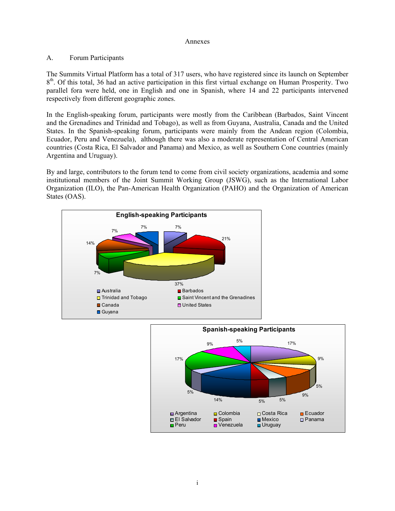#### Annexes

## A. Forum Participants

The Summits Virtual Platform has a total of 317 users, who have registered since its launch on September  $8<sup>th</sup>$ . Of this total, 36 had an active participation in this first virtual exchange on Human Prosperity. Two parallel fora were held, one in English and one in Spanish, where 14 and 22 participants intervened respectively from different geographic zones.

In the English-speaking forum, participants were mostly from the Caribbean (Barbados, Saint Vincent and the Grenadines and Trinidad and Tobago), as well as from Guyana, Australia, Canada and the United States. In the Spanish-speaking forum, participants were mainly from the Andean region (Colombia, Ecuador, Peru and Venezuela), although there was also a moderate representation of Central American countries (Costa Rica, El Salvador and Panama) and Mexico, as well as Southern Cone countries (mainly Argentina and Uruguay).

By and large, contributors to the forum tend to come from civil society organizations, academia and some institutional members of the Joint Summit Working Group (JSWG), such as the International Labor Organization (ILO), the Pan-American Health Organization (PAHO) and the Organization of American States (OAS).



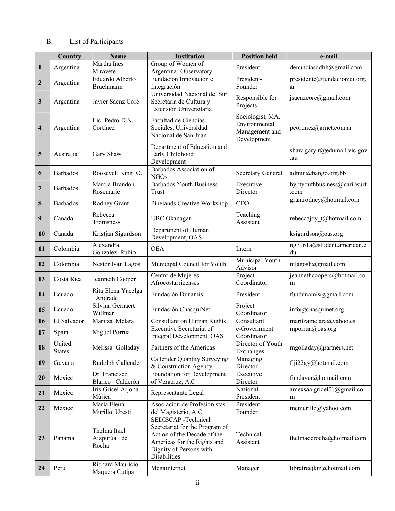# B. List of Participants

|                         | Country                 | <b>Name</b>                          | <b>Institution</b>                                                                                                                                             | <b>Position held</b>                                               | e-mail                              |
|-------------------------|-------------------------|--------------------------------------|----------------------------------------------------------------------------------------------------------------------------------------------------------------|--------------------------------------------------------------------|-------------------------------------|
| $\mathbf{1}$            | Argentina               | Martha Inés<br>Miravete              | Group of Women of<br>Argentina-Observatory                                                                                                                     | President                                                          | denunciasddhh@gmail.com             |
| $\boldsymbol{2}$        | Argentina               | Eduardo Alberto<br><b>Bruchmann</b>  | Fundación Innovación e<br>Integración                                                                                                                          | President-<br>Founder                                              | presidente@fundacioniei.org.<br>ar  |
| $\mathbf{3}$            | Argentina               | Javier Saenz Coré                    | Universidad Nacional del Sur.<br>Secretaria de Cultura y<br>Extensión Universitaria                                                                            | Responsible for<br>Projects                                        | jsaenzcore@gmail.com                |
| $\overline{\mathbf{4}}$ | Argentina               | Lic. Pedro D.N.<br>Cortínez          | Facultad de Ciencias<br>Sociales, Universidad<br>Nacional de San Juan                                                                                          | Sociologist, MA.<br>Environmental<br>Management and<br>Development | pcortinez@arnet.com.ar              |
| 5                       | Australia               | Gary Shaw                            | Department of Education and<br>Early Childhood<br>Development                                                                                                  |                                                                    | shaw.gary.r@edumail.vic.gov<br>.au  |
| 6                       | Barbados                | Roosevelt King O.                    | Barbados Association of<br><b>NGOs</b>                                                                                                                         | <b>Secretary General</b>                                           | admin@bango.org.bb                  |
| 7                       | <b>Barbados</b>         | Marcia Brandon<br>Rosemarie          | <b>Barbados Youth Business</b><br>Trust                                                                                                                        | Executive<br>Director                                              | bybtyouthbusiness@caribsurf<br>.com |
| 8                       | <b>Barbados</b>         | Rodney Grant                         | Pinelands Creative Workshop                                                                                                                                    | <b>CEO</b>                                                         | grantrodney@hotmail.com             |
| 9                       | Canada                  | Rebecca<br>Tromsness                 | UBC Okanagan                                                                                                                                                   | Teaching<br>Assistant                                              | rebeccajoy_t@hotmail.com            |
| 10                      | Canada                  | Kristjan Sigurdson                   | Department of Human<br>Development, OAS                                                                                                                        |                                                                    | ksigurdson@oas.org                  |
| 11                      | Colombia                | Alexandra<br>González Rubio          | <b>OEA</b>                                                                                                                                                     | Intern                                                             | ng7161a@student.american.e<br>du    |
| 12                      | Colombia                | Nestor Iván Lagos                    | Municipal Council for Youth                                                                                                                                    | Municipal Youth<br>Advisor                                         | nilagosh@gmail.com                  |
| 13                      | Costa Rica              | Jeanneth Cooper                      | Centro de Mujeres<br>Afrocostarricenses                                                                                                                        | Project<br>Coordinator                                             | jeannethcooperc@hotmail.co<br>m     |
| 14                      | Ecuador                 | Rita Elena Yacelga<br>Andrade        | Fundación Dunamis                                                                                                                                              | President                                                          | fundunamis@gmail.com                |
| 15                      | Ecuador                 | Silvina Gernaert<br>Willmar          | Fundación ChasquiNet                                                                                                                                           | Project<br>Coordinator                                             | info@chasquinet.org                 |
| 16                      | El Salvador             | Maritza Melara                       | <b>Consultant on Human Rights</b>                                                                                                                              | Consultant                                                         | maritzamelara@yahoo.es              |
| 17                      | Spain                   | Miguel Porrúa                        | <b>Executive Secretariat of</b><br>Integral Development, OAS                                                                                                   | $\overline{e}$ -Government<br>Coordinator                          | mporrua@oas.org                     |
| 18                      | United<br><b>States</b> | Melissa Golladay                     | Partners of the Americas                                                                                                                                       | Director of Youth<br>Exchanges                                     | mgolladay@partners.net              |
| 19                      | Guyana                  | Rudolph Callender                    | <b>Callender Quantity Surveying</b><br>& Construction Agency                                                                                                   | Managing<br>Director                                               | fiji22gy@hotmail.com                |
| 20                      | Mexico                  | Dr. Francisco<br>Blanco Calderón     | Foundation for Development<br>of Veracruz, A.C                                                                                                                 | Executive<br>Director                                              | fundaver@hotmail.com                |
| 21                      | Mexico                  | Iris Gricel Arjona<br>Mújica         | Representante Legal                                                                                                                                            | National<br>President                                              | amexsaa.gricel01@gmail.co<br>m      |
| 22                      | Mexico                  | María Elena<br>Murillo Uresti        | Asociación de Profesionistas<br>del Magisterio, A.C.                                                                                                           | President -<br>Founder                                             | memurillo@yahoo.com                 |
| 23                      | Panama                  | Thelma Itzel<br>Aizpurúa de<br>Rocha | SEDISCAP -Technical<br>Secretariat for the Program of<br>Action of the Decade of the<br>Americas for the Rights and<br>Dignity of Persons with<br>Disabilities | Technical<br>Assistant                                             | thelmaderocha@hotmail.com           |
| 24                      | Peru                    | Richard Mauricio<br>Maquera Cutipa   | Megainternet                                                                                                                                                   | Manager                                                            | librafreejkm@hotmail.com            |